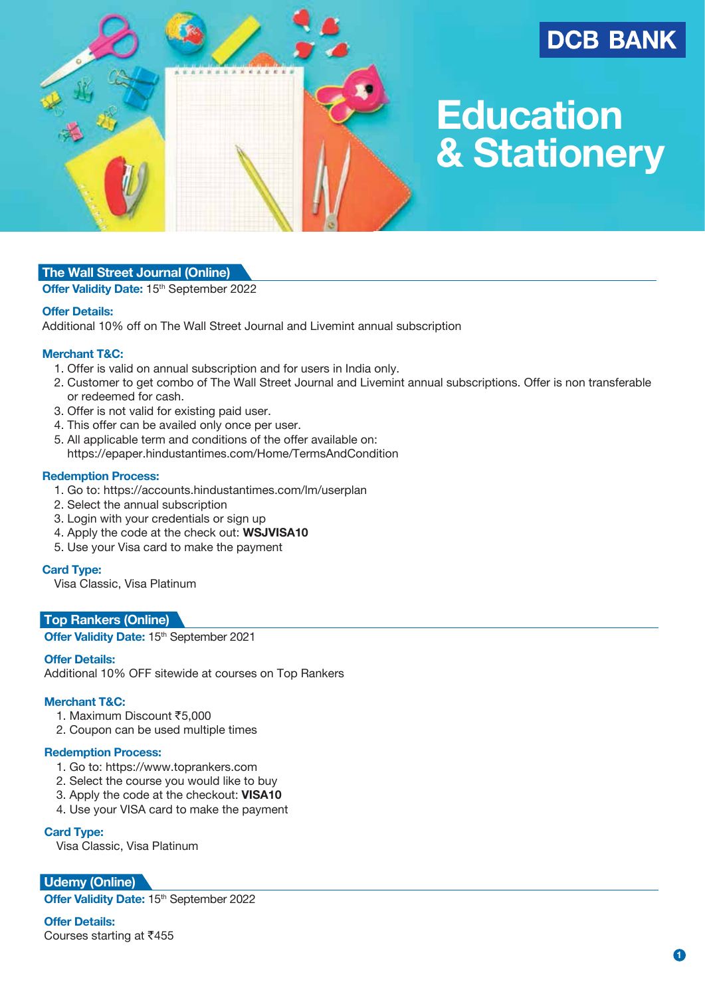

# **DCB BANK**

# **Education & Stationery**

# **The Wall Street Journal (Online)**

Offer Validity Date: 15<sup>th</sup> September 2022

# **Offer Details:**

Additional 10% off on The Wall Street Journal and Livemint annual subscription

# **Merchant T&C:**

- 1. Offer is valid on annual subscription and for users in India only.
- 2. Customer to get combo of The Wall Street Journal and Livemint annual subscriptions. Offer is non transferable or redeemed for cash.
- 3. Offer is not valid for existing paid user.
- 4. This offer can be availed only once per user.
- 5. All applicable term and conditions of the offer available on: https://epaper.hindustantimes.com/Home/TermsAndCondition

# **Redemption Process:**

- 1. Go to: https://accounts.hindustantimes.com/lm/userplan
- 2. Select the annual subscription
- 3. Login with your credentials or sign up
- 4. Apply the code at the check out: **WSJVISA10**
- 5. Use your Visa card to make the payment

# **Card Type:**

Visa Classic, Visa Platinum

# **Top Rankers (Online)**

Offer Validity Date: 15<sup>th</sup> September 2021

# **Offer Details:**

Additional 10% OFF sitewide at courses on Top Rankers

# **Merchant T&C:**

- 1. Maximum Discount ₹5,000
- 2. Coupon can be used multiple times

#### **Redemption Process:**

- 1. Go to: https://www.toprankers.com
- 2. Select the course you would like to buy
- 3. Apply the code at the checkout: **VISA10**
- 4. Use your VISA card to make the payment

#### **Card Type:**

Visa Classic, Visa Platinum

**Udemy (Online)**

**Offer Validity Date: 15th September 2022** 

#### **Offer Details:**

Courses starting at  $\bar{c}$ 455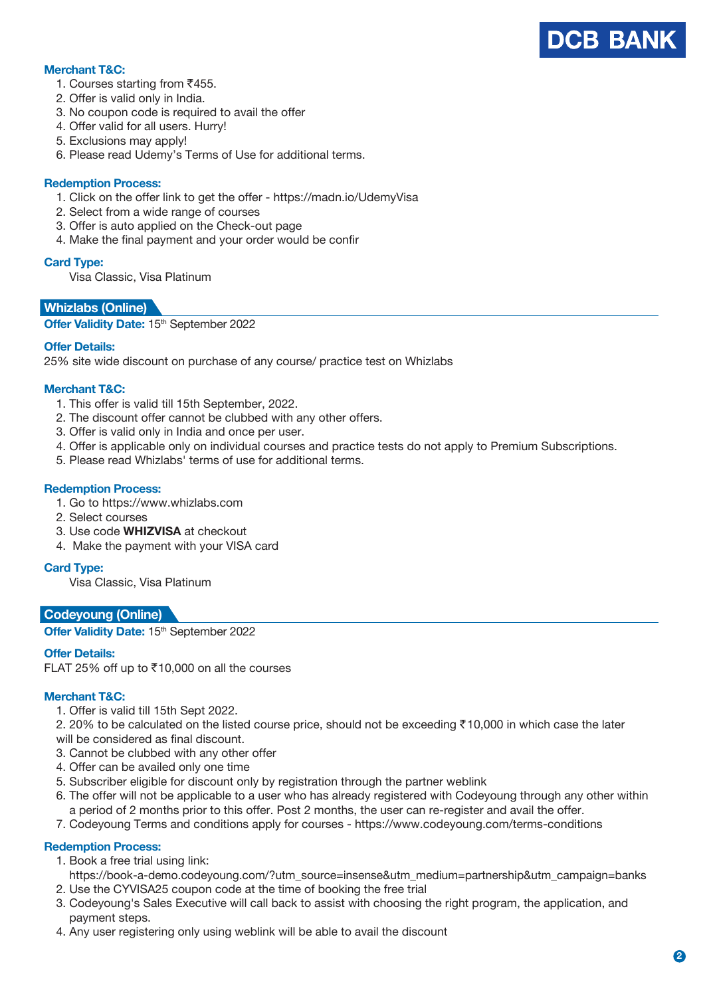

#### **Merchant T&C:**

- 1. Courses starting from  $\overline{5}455$ .
- 2. Offer is valid only in India.
- 3. No coupon code is required to avail the offer
- 4. Offer valid for all users. Hurry!
- 5. Exclusions may apply!
- 6. Please read Udemy's Terms of Use for additional terms.

#### **Redemption Process:**

- 1. Click on the offer link to get the offer https://madn.io/UdemyVisa
- 2. Select from a wide range of courses
- 3. Offer is auto applied on the Check-out page
- 4. Make the final payment and your order would be confir

#### **Card Type:**

Visa Classic, Visa Platinum

# **Whizlabs (Online)**

**Offer Validity Date: 15th September 2022** 

#### **Offer Details:**

25% site wide discount on purchase of any course/ practice test on Whizlabs

#### **Merchant T&C:**

- 1. This offer is valid till 15th September, 2022.
- 2. The discount offer cannot be clubbed with any other offers.
- 3. Offer is valid only in India and once per user.
- 4. Offer is applicable only on individual courses and practice tests do not apply to Premium Subscriptions.
- 5. Please read Whizlabs' terms of use for additional terms.

# **Redemption Process:**

- 1. Go to https://www.whizlabs.com
- 2. Select courses
- 3. Use code **WHIZVISA** at checkout
- 4. Make the payment with your VISA card

#### **Card Type:**

Visa Classic, Visa Platinum

# **Codeyoung (Online)**

**Offer Validity Date: 15th September 2022** 

# **Offer Details:**

FLAT 25% off up to  $\overline{5}$ 10,000 on all the courses

# **Merchant T&C:**

1. Offer is valid till 15th Sept 2022.

2. 20% to be calculated on the listed course price, should not be exceeding  $\bar{c}$  10,000 in which case the later will be considered as final discount.

- 3. Cannot be clubbed with any other offer
- 4. Offer can be availed only one time
- 5. Subscriber eligible for discount only by registration through the partner weblink
- 6. The offer will not be applicable to a user who has already registered with Codeyoung through any other within a period of 2 months prior to this offer. Post 2 months, the user can re-register and avail the offer.
- 7. Codeyoung Terms and conditions apply for courses https://www.codeyoung.com/terms-conditions

#### **Redemption Process:**

- 1. Book a free trial using link:
- https://book-a-demo.codeyoung.com/?utm\_source=insense&utm\_medium=partnership&utm\_campaign=banks 2. Use the CYVISA25 coupon code at the time of booking the free trial
- 3. Codeyoung's Sales Executive will call back to assist with choosing the right program, the application, and payment steps.
- 4. Any user registering only using weblink will be able to avail the discount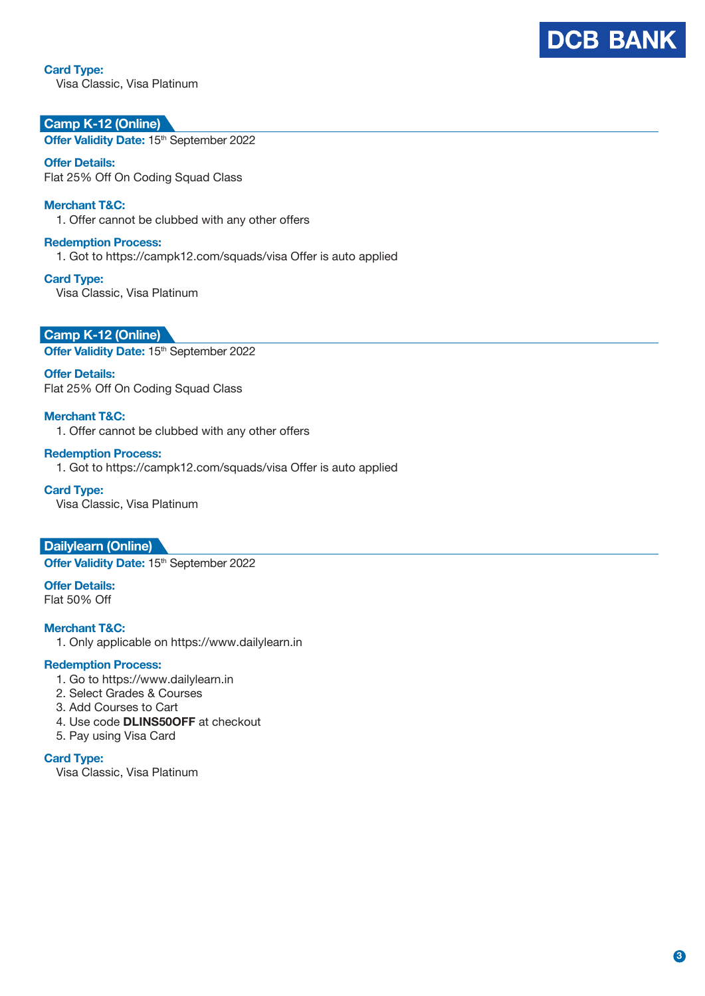# **Card Type:**

Visa Classic, Visa Platinum

# **Camp K-12 (Online)**

**Offer Validity Date: 15th September 2022** 

**Offer Details:** Flat 25% Off On Coding Squad Class

#### **Merchant T&C:**

1. Offer cannot be clubbed with any other offers

#### **Redemption Process:**

1. Got to https://campk12.com/squads/visa Offer is auto applied

#### **Card Type:**

Visa Classic, Visa Platinum

**Camp K-12 (Online) Offer Validity Date: 15th September 2022** 

**Offer Details:** Flat 25% Off On Coding Squad Class

#### **Merchant T&C:**

1. Offer cannot be clubbed with any other offers

#### **Redemption Process:** 1. Got to https://campk12.com/squads/visa Offer is auto applied

**Card Type:**

Visa Classic, Visa Platinum

**Dailylearn (Online) Offer Validity Date: 15th September 2022** 

**Offer Details:** Flat 50% Off

# **Merchant T&C:**

1. Only applicable on https://www.dailylearn.in

#### **Redemption Process:**

- 1. Go to https://www.dailylearn.in
- 2. Select Grades & Courses
- 3. Add Courses to Cart
- 4. Use code **DLINS50OFF** at checkout
- 5. Pay using Visa Card

#### **Card Type:**

Visa Classic, Visa Platinum